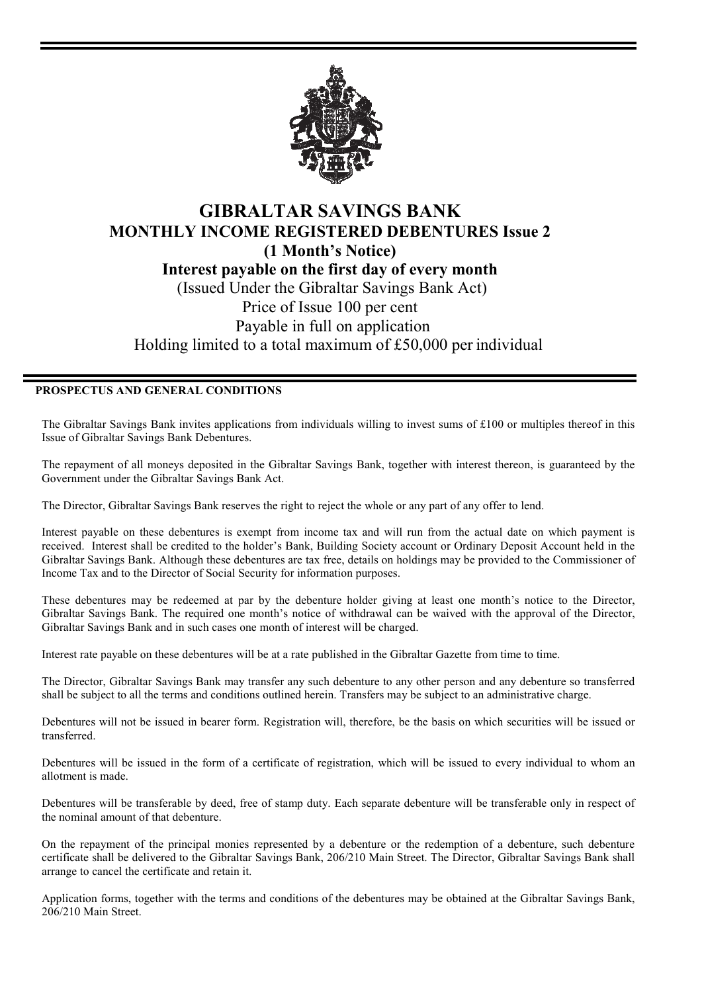

## **GIBRALTAR SAVINGS BANK MONTHLY INCOME REGISTERED DEBENTURES Issue 2 (1 Month's Notice) Interest payable on the first day of every month**  (Issued Under the Gibraltar Savings Bank Act) Price of Issue 100 per cent Payable in full on application Holding limited to a total maximum of £50,000 per individual

## **PROSPECTUS AND GENERAL CONDITIONS**

The Gibraltar Savings Bank invites applications from individuals willing to invest sums of £100 or multiples thereof in this Issue of Gibraltar Savings Bank Debentures.

The repayment of all moneys deposited in the Gibraltar Savings Bank, together with interest thereon, is guaranteed by the Government under the Gibraltar Savings Bank Act.

The Director, Gibraltar Savings Bank reserves the right to reject the whole or any part of any offer to lend.

Interest payable on these debentures is exempt from income tax and will run from the actual date on which payment is received. Interest shall be credited to the holder's Bank, Building Society account or Ordinary Deposit Account held in the Gibraltar Savings Bank. Although these debentures are tax free, details on holdings may be provided to the Commissioner of Income Tax and to the Director of Social Security for information purposes.

These debentures may be redeemed at par by the debenture holder giving at least one month's notice to the Director, Gibraltar Savings Bank. The required one month's notice of withdrawal can be waived with the approval of the Director, Gibraltar Savings Bank and in such cases one month of interest will be charged.

Interest rate payable on these debentures will be at a rate published in the Gibraltar Gazette from time to time.

The Director, Gibraltar Savings Bank may transfer any such debenture to any other person and any debenture so transferred shall be subject to all the terms and conditions outlined herein. Transfers may be subject to an administrative charge.

Debentures will not be issued in bearer form. Registration will, therefore, be the basis on which securities will be issued or transferred.

Debentures will be issued in the form of a certificate of registration, which will be issued to every individual to whom an allotment is made.

Debentures will be transferable by deed, free of stamp duty. Each separate debenture will be transferable only in respect of the nominal amount of that debenture.

On the repayment of the principal monies represented by a debenture or the redemption of a debenture, such debenture certificate shall be delivered to the Gibraltar Savings Bank, 206/210 Main Street. The Director, Gibraltar Savings Bank shall arrange to cancel the certificate and retain it.

Application forms, together with the terms and conditions of the debentures may be obtained at the Gibraltar Savings Bank, 206/210 Main Street.